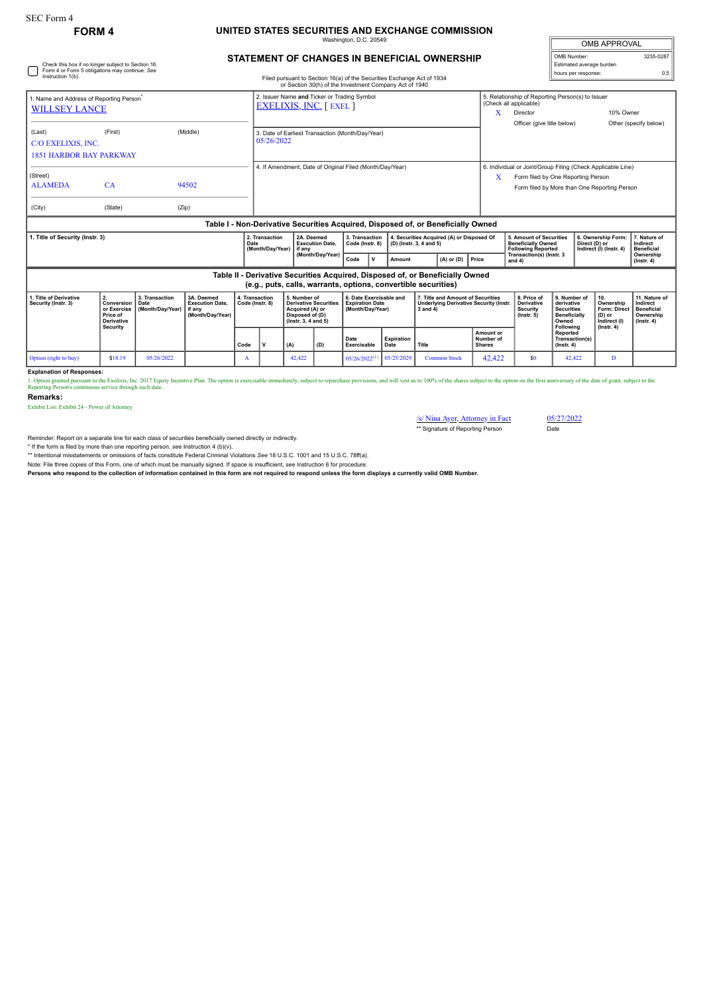Check this box if no longer subject to Section 16. Form 4 or Form 5 obligations may continue. *See*

## **FORM 4 UNITED STATES SECURITIES AND EXCHANGE COMMISSION**

ington, D.C. 20

| <b>OMB APPROVAL</b>      |           |
|--------------------------|-----------|
| OMB Number:              | 3235-0287 |
| Estimated average burden |           |
| hours per response:      | ሰ 5       |

## **STATEMENT OF CHANGES IN BENEFICIAL OWNERSHIP**

| Instruction 1(b).                                                                |                                                                                                                                                 |                         | Filed pursuant to Section 16(a) of the Securities Exchange Act of 1934<br>or Section 30(h) of the Investment Company Act of 1940 |  |                                                                               |                                                  |                                   |              |                                                                                                  |  | noura par reaponad.                                                                                    |              |                                                                                                                                                                 |                                      |  |                                                                |                                               |
|----------------------------------------------------------------------------------|-------------------------------------------------------------------------------------------------------------------------------------------------|-------------------------|----------------------------------------------------------------------------------------------------------------------------------|--|-------------------------------------------------------------------------------|--------------------------------------------------|-----------------------------------|--------------|--------------------------------------------------------------------------------------------------|--|--------------------------------------------------------------------------------------------------------|--------------|-----------------------------------------------------------------------------------------------------------------------------------------------------------------|--------------------------------------|--|----------------------------------------------------------------|-----------------------------------------------|
| Name and Address of Reporting Person <sup>*</sup><br><b>WILLSEY LANCE</b>        |                                                                                                                                                 |                         |                                                                                                                                  |  | 2. Issuer Name and Ticker or Trading Symbol<br><b>EXELIXIS, INC.</b> [ EXEL ] |                                                  |                                   |              |                                                                                                  |  |                                                                                                        |              | 5. Relationship of Reporting Person(s) to Issuer<br>(Check all applicable)<br>10% Owner<br>Director<br>X<br>Officer (give title below)<br>Other (specify below) |                                      |  |                                                                |                                               |
| (Last)<br>C/O EXELIXIS, INC.<br><b>1851 HARBOR BAY PARKWAY</b>                   | (First)                                                                                                                                         |                         | (Middle)                                                                                                                         |  | 3. Date of Earliest Transaction (Month/Day/Year)<br>05/26/2022                |                                                  |                                   |              |                                                                                                  |  |                                                                                                        |              |                                                                                                                                                                 |                                      |  |                                                                |                                               |
| (Street)                                                                         |                                                                                                                                                 |                         | 4. If Amendment, Date of Original Filed (Month/Day/Year)                                                                         |  |                                                                               |                                                  |                                   |              |                                                                                                  |  | 6. Individual or Joint/Group Filing (Check Applicable Line)<br>X<br>Form filed by One Reporting Person |              |                                                                                                                                                                 |                                      |  |                                                                |                                               |
| <b>ALAMEDA</b>                                                                   | CA                                                                                                                                              |                         | 94502                                                                                                                            |  |                                                                               |                                                  |                                   |              |                                                                                                  |  |                                                                                                        |              |                                                                                                                                                                 |                                      |  | Form filed by More than One Reporting Person                   |                                               |
| (City)                                                                           | (State)                                                                                                                                         | (Zip)                   |                                                                                                                                  |  |                                                                               |                                                  |                                   |              |                                                                                                  |  |                                                                                                        |              |                                                                                                                                                                 |                                      |  |                                                                |                                               |
| Table I - Non-Derivative Securities Acquired, Disposed of, or Beneficially Owned |                                                                                                                                                 |                         |                                                                                                                                  |  |                                                                               |                                                  |                                   |              |                                                                                                  |  |                                                                                                        |              |                                                                                                                                                                 |                                      |  |                                                                |                                               |
| . Title of Security (Instr. 3)<br>Date                                           |                                                                                                                                                 |                         |                                                                                                                                  |  | 2. Transaction<br>(Month/Day/Year)                                            | 2A. Deemed<br><b>Execution Date.</b><br>l if anv | 3. Transaction<br>Code (Instr. 8) |              | 4. Securities Acquired (A) or Disposed Of<br>(D) (Instr. 3, 4 and 5)                             |  |                                                                                                        |              | 5. Amount of Securities<br><b>Beneficially Owned</b><br><b>Following Reported</b>                                                                               |                                      |  | 6. Ownership Form:<br>Direct (D) or<br>Indirect (I) (Instr. 4) | 7. Nature of<br>Indirect<br><b>Beneficial</b> |
|                                                                                  |                                                                                                                                                 |                         |                                                                                                                                  |  |                                                                               | (Month/Day/Year)                                 | Code                              | $\mathbf{v}$ | Amount                                                                                           |  | $(A)$ or $(D)$                                                                                         | <b>Price</b> |                                                                                                                                                                 | Transaction(s) (Instr. 3<br>and $4)$ |  |                                                                | Ownership<br>$($ lnstr. 4 $)$                 |
|                                                                                  | Table II - Derivative Securities Acquired, Disposed of, or Beneficially Owned<br>(e.g., puts, calls, warrants, options, convertible securities) |                         |                                                                                                                                  |  |                                                                               |                                                  |                                   |              |                                                                                                  |  |                                                                                                        |              |                                                                                                                                                                 |                                      |  |                                                                |                                               |
| That a look that when a book                                                     |                                                                                                                                                 | $A$ $B$ and $B$ and $B$ | $\mathbf{A}$ $\mathbf{B}$ $\mathbf{A}$ $\mathbf{B}$                                                                              |  |                                                                               | a monocontrol of the Monocontraction             |                                   |              | $\overline{a}$ between the contributions of $\overline{a}$ and $\overline{a}$ are contributions. |  |                                                                                                        |              |                                                                                                                                                                 |                                      |  | المدارين بالسابقة                                              | Address of                                    |

| 1. Title of Derivative<br>Security (Instr. 3) | Conversion<br>or Exercise<br><b>Price of</b><br><b>Derivative</b><br>Security | 3. Transaction<br>Date<br>(Month/Dav/Year) I if any | <sup>1</sup> 3A. Deemed<br><b>Execution Date.</b><br>(Month/Dav/Year) | 4. Transaction<br>Code (Instr. 8) |  | 5. Number of<br><b>Derivative Securities</b><br>Acquired (A) or<br><sup>1</sup> Disposed of (D)<br>$($ lnstr. 3. 4 and 5 $)$ |     | 6. Date Exercisable and<br><b>Expiration Date</b><br>(Month/Dav/Year) |                    | 7. Title and Amount of Securities<br>l Underlving Derivative Security (Instr.<br>3 and 4) |                                                | 8. Price of<br>Derivative<br><b>Security</b><br>$($ lnstr $, 5)$ | 9. Number of<br>derivative<br><b>Securities</b><br><b>Beneficially</b><br>Owned<br>Following | 110.<br>Ownership<br>Form: Direct   Beneficial<br>(D) or<br>Indirect (I) | 11. Nature of<br>Indirect<br>Ownership<br>$($ lnstr. 4 $)$ |
|-----------------------------------------------|-------------------------------------------------------------------------------|-----------------------------------------------------|-----------------------------------------------------------------------|-----------------------------------|--|------------------------------------------------------------------------------------------------------------------------------|-----|-----------------------------------------------------------------------|--------------------|-------------------------------------------------------------------------------------------|------------------------------------------------|------------------------------------------------------------------|----------------------------------------------------------------------------------------------|--------------------------------------------------------------------------|------------------------------------------------------------|
|                                               |                                                                               |                                                     |                                                                       | Code                              |  | (A)                                                                                                                          | (D) | Date<br>Exercisable                                                   | Expiration<br>Date | Title                                                                                     | <b>Amount or</b><br>Number of<br><b>Shares</b> |                                                                  | Reported<br>Transaction(s)<br>$($ lnstr, 4 $)$                                               | $($ lnstr. 4 $)$                                                         |                                                            |
| Option (right to buy)                         | \$18.19                                                                       | 05/26/2022                                          |                                                                       | A                                 |  | 42.422                                                                                                                       |     | $05/26/2022$ <sup>(1)</sup>                                           | 0.65/25/2029       | <b>Common Stock</b>                                                                       | 42.422                                         | \$0                                                              | 42,422                                                                                       | п.                                                                       |                                                            |

**Explanation of Responses:**

1. Option granted pursuant to the Exclixis, Inc. 2017 Equity Incentive Plan. The option is exercisable immediately, subject to repurchase provisions, and will vest as to 100% of the shares subject to the option on the firs

**Remarks:**

Exhibit List: Exhibit 24 - Power of Attorney

/s/ Nina Ayer, Attorney in Fact 05/27/2022 \*\* Signature of Reporting Person Date

Reminder: Report on a separate line for each class of securities beneficially owned directly or indirectly.

\* If the form is filed by more than one reporting person, *see* Instruction 4 (b)(v). \*\* Intentional misstatements or omissions of facts constitute Federal Criminal Violations *See* 18 U.S.C. 1001 and 15 U.S.C. 78ff(a).

Note: File three copies of this Form, one of which must be manually signed. If space is insufficient, *see* Instruction 6 for procedure.

**Persons who respond to the collection of information contained in this form are not required to respond unless the form displays a currently valid OMB Number.**